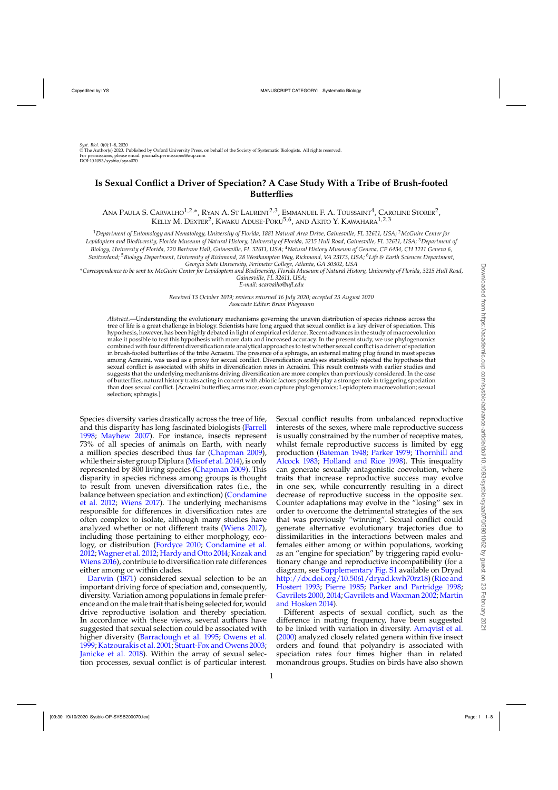# **Is Sexual Conflict a Driver of Speciation? A Case Study With a Tribe of Brush-footed Butterflies**

ANA PAULA S. CARVALHO<sup>1,2,∗</sup>, Ryan A. St Laurent<sup>2,3</sup>, Emmanuel F. A. Toussaint<sup>4</sup>, Caroline Storer<sup>2</sup>, KELLY M. DEXTER<sup>2</sup>, KWAKU ADUSE-POKU<sup>5,6</sup>, AND AKITO Y. KAWAHARA<sup>1,2,3</sup>

<sup>1</sup>*Department of Entomology and Nematology, University of Florida, 1881 Natural Area Drive, Gainesville, FL 32611, USA;* <sup>2</sup>*McGuire Center for Lepidoptera and Biodiversity, Florida Museum of Natural History, University of Florida, 3215 Hull Road, Gainesville, FL 32611, USA;* <sup>3</sup>*Department of Biology, University of Florida, 220 Bartram Hall, Gainesville, FL 32611, USA;* <sup>4</sup>*Natural History Museum of Geneva, CP 6434, CH 1211 Geneva 6, Switzerland;* <sup>5</sup>*Biology Department, University of Richmond, 28 Westhampton Way, Richmond, VA 23173, USA;* <sup>6</sup>*Life & Earth Sciences Department, Georgia State University, Perimeter College, Atlanta, GA 30302, USA*

∗*Correspondence to be sent to: McGuire Center for Lepidoptera and Biodiversity, Florida Museum of Natural History, University of Florida, 3215 Hull Road, Gainesville, FL 32611, USA;*

*E-mail: acarvalho@ufl.edu*

*Received 13 October 2019; reviews returned 16 July 2020; accepted 23 August 2020 Associate Editor: Brian Wiegmann*

*Abstract*.—Understanding the evolutionary mechanisms governing the uneven distribution of species richness across the tree of life is a great challenge in biology. Scientists have long argued that sexual conflict is a key driver of speciation. This hypothesis, however, has been highly debated in light of empirical evidence. Recent advances in the study of macroevolution make it possible to test this hypothesis with more data and increased accuracy. In the present study, we use phylogenomics combined with four different diversification rate analytical approaches to test whether sexual conflict is a driver of speciation in brush-footed butterflies of the tribe Acraeini. The presence of a sphragis, an external mating plug found in most species among Acraeini, was used as a proxy for sexual conflict. Diversification analyses statistically rejected the hypothesis that sexual conflict is associated with shifts in diversification rates in Acraeini. This result contrasts with earlier studies and suggests that the underlying mechanisms driving diversification are more complex than previously considered. In the case of butterflies, natural history traits acting in concert with abiotic factors possibly play a stronger role in triggering speciation than does sexual conflict. [Acraeini butterflies; arms race; exon capture phylogenomics; Lepidoptera macroevolution; sexual selection; sphragis.]

Species diversity varies drastically across the tree of life, and this disparity has long fascinated biologists [\(Farrell](#page-6-0) [1998](#page-6-0); [Mayhew 2007](#page-6-0)). For instance, insects represent 73% of all species of animals on Earth, with nearly a million species described thus far [\(Chapman 2009](#page-6-0)), while their sister group Diplura [\(Misof et al. 2014](#page-7-0)), is only represented by 800 living species [\(Chapman 2009\)](#page-6-0). This disparity in species richness among groups is thought to result from uneven diversification rates (i.e., the bala[nce between speciation and extinction\) \(](#page-6-0)Condamine et al. [2012;](#page-6-0) [Wiens 2017](#page-7-0)). The underlying mechanisms responsible for differences in diversification rates are often complex to isolate, although many studies have analyzed whether or not different traits [\(Wiens 2017](#page-7-0)), including those pertaining to either morphology, ecology, or distribution [\(Fordyce 2010;](#page-6-0) [Condamine et al.](#page-6-0) [2012](#page-6-0);[Wagner et al. 2012](#page-7-0); [Hardy and Otto 2014;](#page-6-0) Kozak and Wiens [2016\)](#page-6-0), contribute to diversification rate differences [either](#page-6-0) [amo](#page-6-0)ng or within clades.

Darwin [\(1871](#page-6-0)) considered sexual selection to be an important driving force of speciation and, consequently, diversity. Variation among populations in female preference and on themale trait thatis being selected for, would drive reproductive isolation and thereby speciation. In accordance with these views, several authors have suggested that sexual selection could be associated with higher diversity [\(Barraclough et al. 1995](#page-6-0); [Owens et al.](#page-7-0) [1999](#page-7-0); [Katzourakis et al. 2001;](#page-6-0) [Stuart-Fox and Owens 2003](#page-7-0); [Janicke et al. 2018](#page-6-0)). Within the array of sexual selection processes, sexual conflict is of particular interest.

Sexual conflict results from unbalanced reproductive interests of the sexes, where male reproductive success is usually constrained by the number of receptive mates, whilst female reproductive success is limited by egg produ[ction](#page-7-0) [\(Bateman 1948](#page-6-0)[;](#page-7-0) [Parker 1979;](#page-7-0) Thornhill and Alcock [1983;](#page-7-0) [Holland and Rice 1998](#page-6-0)). This inequality can generate sexually antagonistic coevolution, where traits that increase reproductive success may evolve in one sex, while concurrently resulting in a direct decrease of reproductive success in the opposite sex. Counter adaptations may evolve in the "losing" sex in order to overcome the detrimental strategies of the sex that was previously "winning". Sexual conflict could generate alternative evolutionary trajectories due to dissimilarities in the interactions between males and females either among or within populations, working as an "engine for speciation" by triggering rapid evolutionary change and reproductive incompatibility (for a diagram, see [Supplementary Fig. S1](http://dx.doi.org/10.5061/dryad.kwh70rz18) available on Dryad [http://dx.doi.org/10.5061/dryad.kwh70rz18\)](http://dx.doi.org/10.5061/dryad.kwh70rz18) [\(](#page-7-0)Rice and Hostert [1993](#page-7-0); [Pierre 1985;](#page-7-0) [Parker and Partridge 1998;](#page-7-0) [Gavrilets 2000,](#page-6-0) [2014;](#page-6-0) [Gavrilets and Waxman 2002;](#page-6-0) Martin and Hosken [2014\)](#page-6-0).

Different aspects of sexual conflict, such as the difference in mating frequency, have been suggested to be linked with variation in diversity. [Arnqvist et al.](#page-6-0) [\(2000\)](#page-6-0) analyzed closely related genera within five insect orders and found that polyandry is associated with speciation rates four times higher than in related monandrous groups. Studies on birds have also shown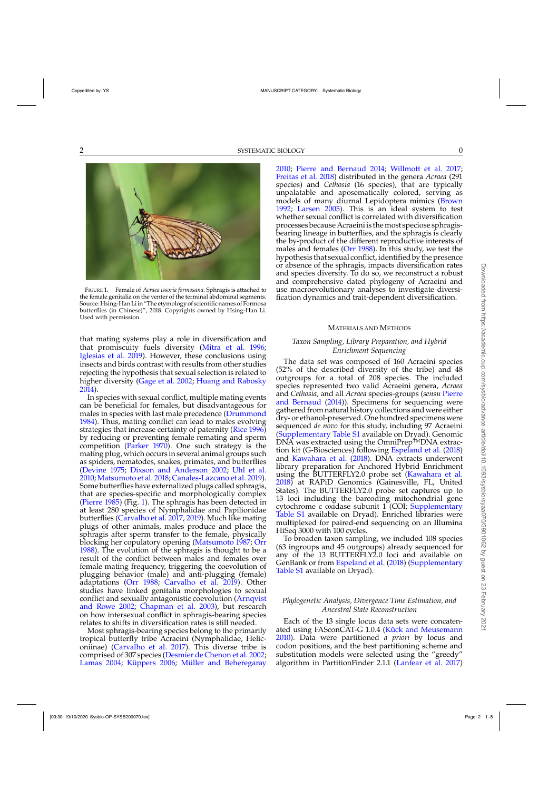

FIGURE 1. Female of *Acraea issoria formosana*. Sphragis is attached to the female genitalia on the venter of the terminal abdominal segments. Source: Hsing-Han Liin "The etymology of scientific names of Formosa butterflies (in Chinese)", 2018. Copyrights owned by Hsing-Han Li. Used with permission.

that mating systems play a role in diversification and that promiscuity fuels diversity [\(Mitra et al. 1996](#page-7-0); [Iglesias et al. 2019\)](#page-6-0). However, these conclusions using insects and birds contrast with results from other studies rejecting the hypothesis that sexual selection is related to higher diversity [\(Gage et al. 2002;](#page-6-0) [Huang and Rabosky](#page-6-0) [2014](#page-6-0)).

In species with sexual conflict, multiple mating events can be beneficial for females, but disadvantageous for males in species with last male precedence [\(Drummond](#page-6-0) [1984](#page-6-0)). Thus, mating conflict can lead to males evolving strategies that increase certainty of paternity [\(Rice 1996](#page-7-0)) by reducing or preventing female remating and sperm competition [\(Parker 1970\)](#page-7-0). One such strategy is the mating plug, which occurs in several animal groups such as spiders, nematodes, snakes, primates, and butterflies [\(Devine 1975](#page-6-0); [Dixson and Anderson 2002;](#page-6-0) [Uhl et al.](#page-7-0) [2010;](#page-7-0) [Matsumoto et al. 2018](#page-6-0); [Canales-Lazcano et al. 2019\)](#page-6-0). Some butterflies have externalized plugs called sphragis, that are species-specific and morphologically complex [\(Pierre 1985\)](#page-7-0) (Fig. 1). The sphragis has been detected in at least 280 species of Nymphalidae and Papilionidae butterflies [\(Carvalho et al. 2017](#page-6-0), [2019](#page-6-0)). Much like mating plugs of other animals, males produce and place the sphragis after sperm transfer to the female, physically blocking her copulatory opening [\(Matsumoto 1987;](#page-6-0) [Orr](#page-7-0) [1988](#page-7-0)). The evolution of the sphragis is thought to be a result of the conflict between males and females over female mating frequency, triggering the coevolution of plugging behavior (male) and anti-plugging (female) adaptations [\(Orr 1988;](#page-7-0) [Carvalho et al. 2019](#page-6-0)). Other studies have linked genitalia morphologies to sexual conflict an[d sexually antagonistic coevolution \(](#page-6-0)Arnqvist and Rowe [2002](#page-6-0); [Chapman et al. 2003\)](#page-6-0), but research on how intersexual conflict in sphragis-bearing species relates to shifts in diversification rates is still needed.

Most sphragis-bearing species belong to the primarily tropical butterfly tribe Acraeini (Nymphalidae, Heliconiinae) [\(Carvalho et al. 2017](#page-6-0)). This diverse tribe is comprised of 307 species [\(Desmier de Chenon et al. 2002](#page-6-0); [Lamas 2004;](#page-6-0) [Küppers 2006](#page-6-0); [Müller and Beheregaray](#page-7-0)

[2010;](#page-7-0) [Pierre and Bernaud 2014;](#page-7-0) [Willmott et al. 2017](#page-7-0); [Freitas et al. 2018\)](#page-6-0) distributed in the genera *Acraea* (291 species) and *Cethosia* (16 species), that are typically unpalatable and aposematically colored, serving as models of many diurnal Lepidoptera mimics [\(Brown](#page-6-0) [1992](#page-6-0); [Larsen 2005\)](#page-6-0). This is an ideal system to test whether sexual conflict is correlated with diversification processes because Acraeiniis themost speciose sphragisbearing lineage in butterflies, and the sphragis is clearly the by-product of the different reproductive interests of males and females [\(Orr 1988\)](#page-7-0). In this study, we test the hypothesis that sexual conflict, identified by the presence or absence of the sphragis, impacts diversification rates and species diversity. To do so, we reconstruct a robust and comprehensive dated phylogeny of Acraeini and use macroevolutionary analyses to investigate diversification dynamics and trait-dependent diversification.

### MATERIALS AND METHODS

# *Taxon Sampling, Library Preparation, and Hybrid Enrichment Sequencing*

The data set was composed of 160 Acraeini species (52% of the described diversity of the tribe) and 48 outgroups for a total of 208 species. The included species represented two valid Acraeini genera, *Acraea* and *Cethosia*, and all *Acraea* [species-groups \(](#page-7-0)*sensu* Pierre and Bernaud [\(2014\)](#page-7-0)). Specimens for sequencing were gathered from natural history collections and were either dry- or ethanol-preserved. One hundred specimens were sequenced *de novo* for this study, including 97 Acraeini [\(Supplementary Table S1](http://dx.doi.org/10.5061/dryad.kwh70rz18) available on Dryad). Genomic DNA was extracted using the OmniPrep™DNA extraction kit (G-Biosciences) following [Espeland et al.](#page-6-0) [\(2018\)](#page-6-0) and [Kawahara et al.](#page-6-0) [\(2018](#page-6-0)). DNA extracts underwent library preparation for Anchored Hybrid Enrichment using the BUTTERFLY2.0 probe set [\(Kawahara et al.](#page-6-0) [2018\)](#page-6-0) at RAPiD Genomics (Gainesville, FL, United States). The BUTTERFLY2.0 probe set captures up to 13 loci including the barcoding mitochondrial gene cytochrome c oxidase subunit  $1$ <sup> $\sim$ </sup> (COI; [Supplementary](http://dx.doi.org/10.5061/dryad.kwh70rz18) [Table S1](http://dx.doi.org/10.5061/dryad.kwh70rz18) available on Dryad). Enriched libraries were multiplexed for paired-end sequencing on an Illumina HiSeq 3000 with 100 cycles.

To broaden taxon sampling, we included 108 species (63 ingroups and 45 outgroups) already sequenced for any of the 13 BUTTERFLY2.0 loci and available on GenBank or from [Espeland et al.](#page-6-0) [\(2018\)](#page-6-0) [\(Supplementary](http://dx.doi.org/10.5061/dryad.kwh70rz18) [Table S1](http://dx.doi.org/10.5061/dryad.kwh70rz18) available on Dryad).

# *Phylogenetic Analysis, Divergence Time Estimation, and Ancestral State Reconstruction*

Each of the 13 single locus data sets were concatenated using FASconCAT-G 1.0.4 [\(Kück and Meusemann](#page-6-0) [2010\)](#page-6-0). Data were partitioned *a priori* by locus and codon positions, and the best partitioning scheme and substitution models were selected using the "greedy" algorithm in PartitionFinder 2.1.1 [\(Lanfear et al. 2017\)](#page-6-0)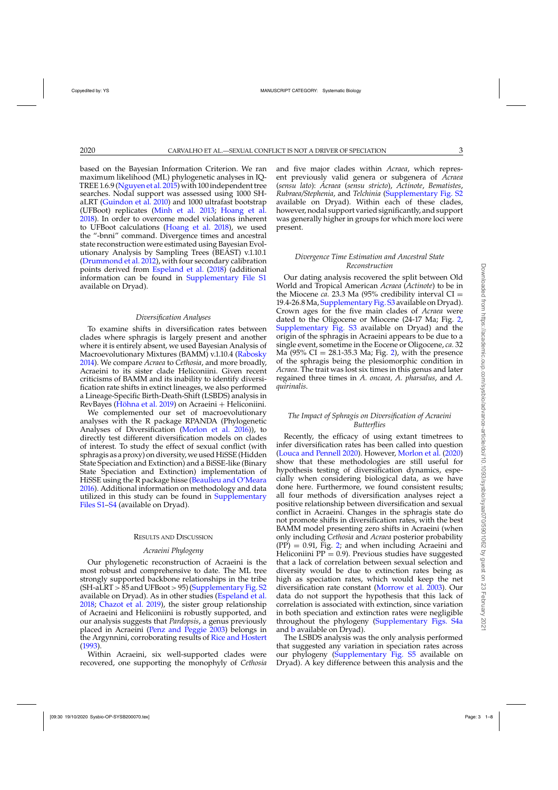based on the Bayesian Information Criterion. We ran maximum likelihood (ML) phylogenetic analyses in IQ-TREE 1.6.9 [\(Nguyen et al. 2015](#page-7-0)) with 100 independent tree searches. Nodal support was assessed using 1000 SHaLRT [\(Guindon et al. 2010](#page-6-0)) and 1000 ultrafast bootstrap (UFBoot) replicates [\(Minh et al. 2013;](#page-6-0) [Hoang et al.](#page-6-0) [2018\)](#page-6-0). In order to overcome model violations inherent to UFBoot calculations [\(Hoang et al. 2018](#page-6-0)), we used the "-bnni" command. Divergence times and ancestral state reconstruction were estimated using Bayesian Evolutionary Analysis by Sampling Trees (BEAST) v.1.10.1 [\(Drummond et al. 2012](#page-6-0)), with four secondary calibration points derived from [Espeland et al.](#page-6-0) [\(2018\)](#page-6-0) (additional information can be found in [Supplementary File S1](http://dx.doi.org/10.5061/dryad.kwh70rz18) available on Dryad).

### *Diversification Analyses*

To examine shifts in diversification rates between clades where sphragis is largely present and another where it is entirely absent, we used Bayesian Analysis of Macroevolutionary Mixtures (BAMM) v.1.10.4 [\(Rabosky](#page-7-0) [2014\)](#page-7-0). We compare *Acraea* to *Cethosia*, and more broadly, Acraeini to its sister clade Heliconiini. Given recent criticisms of BAMM and its inability to identify diversification rate shifts in extinct lineages, we also performed a Lineage-Specific Birth-Death-Shift (LSBDS) analysis in RevBayes [\(Höhna et al. 2019\)](#page-6-0) on Acraeini + Heliconiini.

We complemented our set of macroevolutionary analyses with the R package RPANDA (Phylogenetic Analyses of Diversification [\(Morlon et al. 2016](#page-7-0))), to directly test different diversification models on clades of interest. To study the effect of sexual conflict (with sphragis as a proxy) on diversity, we used HiSSE (Hidden State Speciation and Extinction) and a BiSSE-like (Binary State Speciation and Extinction) implementation of HiSSE using the R package hisse [\(Beaulieu and O'Meara](#page-6-0) [2016\)](#page-6-0). Additional information on methodology and data utilized in this study can be found in **[Supplementary](http://dx.doi.org/10.5061/dryad.kwh70rz18)** [Files S1–S4](http://dx.doi.org/10.5061/dryad.kwh70rz18) (available on Dryad).

#### RESULTS AND DISCUSSION

### *Acraeini Phylogeny*

Our phylogenetic reconstruction of Acraeini is the most robust and comprehensive to date. The ML tree strongly supported backbone relationships in the tribe  $(SH-aLRT > 85$  and UFBoot  $> 95$ ) [\(Supplementary Fig. S2](http://dx.doi.org/10.5061/dryad.kwh70rz18) available on Dryad). As in other studies [\(Espeland et al.](#page-6-0) [2018;](#page-6-0) [Chazot et al. 2019\)](#page-6-0), the sister group relationship of Acraeini and Heliconiini is robustly supported, and our analysis suggests that *Pardopsis*, a genus previously placed in Acraeini [\(Penz and Peggie 2003\)](#page-7-0) belongs in the Argynnini, corroborating results of [Rice and Hostert](#page-7-0) [\(1993\)](#page-7-0).

Within Acraeini, six well-supported clades were recovered, one supporting the monophyly of *Cethosia*

and five major clades within *Acraea*, which represent previously valid genera or subgenera of *Acraea* (*sensu lato*): *Acraea* (*sensu stricto*), *Actinote*, *Bematistes*, *Rubraea/Stephenia*, and *Telchinia* [\(Supplementary Fig. S2](http://dx.doi.org/10.5061/dryad.kwh70rz18) available on Dryad). Within each of these clades, however, nodal support varied significantly, and support was generally higher in groups for which more loci were present.

# *Divergence Time Estimation and Ancestral State Reconstruction*

Our dating analysis recovered the split between Old World and Tropical American *Acraea* (*Actinote*) to be in the Miocene *ca.* 23.3 Ma  $(95\% \text{ credibility interval CI} =$ 19.4-26.8Ma, [Supplementary Fig. S3](http://dx.doi.org/10.5061/dryad.kwh70rz18) available on Dryad). Crown ages for the five main clades of *Acraea* were dated to the Oligocene or Miocene (24-17 Ma; Fig. [2,](#page-3-0) [Supplementary Fig. S3](http://dx.doi.org/10.5061/dryad.kwh70rz18) available on Dryad) and the origin of the sphragis in Acraeini appears to be due to a single event, sometime in the Eocene or Oligocene, *ca.* 32 Ma  $(95\% \text{ CI} = 28.1 - 35.3 \text{ Ma}; \text{Fig. 2})$ , with the presence of the sphragis being the plesiomorphic condition in *Acraea.* The trait was lost six times in this genus and later regained three times in *A. oncaea, A. pharsalus*, and *A. quirinalis*.

# *The Impact of Sphragis on Diversification of Acraeini Butterflies*

Recently, the efficacy of using extant timetrees to infer diversification rates has been called into question [\(Louca and Pennell 2020](#page-6-0)). However, [Morlon et al.](#page-7-0) [\(2020\)](#page-7-0) show that these methodologies are still useful for hypothesis testing of diversification dynamics, especially when considering biological data, as we have done here. Furthermore, we found consistent results; all four methods of diversification analyses reject a positive relationship between diversification and sexual conflict in Acraeini. Changes in the sphragis state do not promote shifts in diversification rates, with the best BAMM model presenting zero shifts in Acraeini (when only including *Cethosia* and *Acraea* posterior probability  $(PP) = 0.91$ , Fig. [2;](#page-3-0) and when including Acraeini and Heliconiini  $PP = 0.9$ . Previous studies have suggested that a lack of correlation between sexual selection and diversity would be due to extinction rates being as high as speciation rates, which would keep the net diversification rate constant [\(Morrow et al. 2003\)](#page-7-0). Our data do not support the hypothesis that this lack of correlation is associated with extinction, since variation in both speciation and extinction rates were negligible throughout the phylogeny [\(Supplementary Figs. S4a](http://dx.doi.org/10.5061/dryad.kwh70rz18) and [b](http://dx.doi.org/10.5061/dryad.kwh70rz18) available on Dryad).

The LSBDS analysis was the only analysis performed that suggested any variation in speciation rates across our phylogeny [\(Supplementary Fig. S5](http://dx.doi.org/10.5061/dryad.kwh70rz18) available on Dryad). A key difference between this analysis and the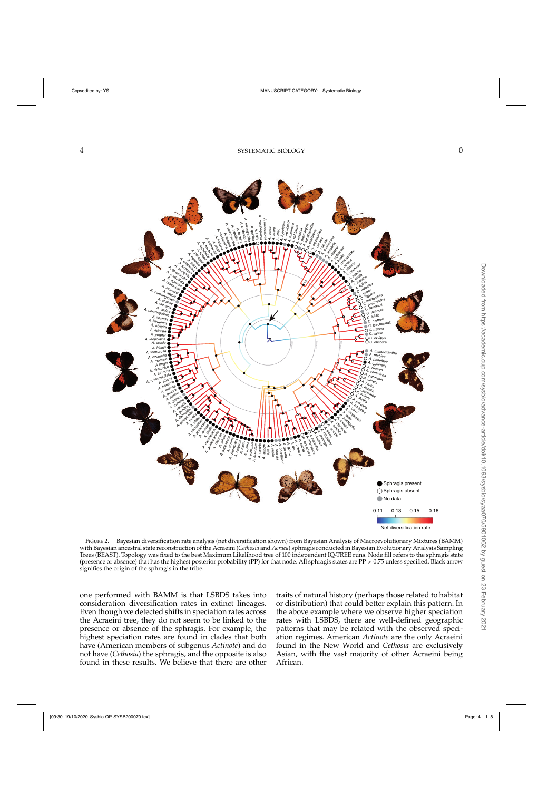<span id="page-3-0"></span>

FIGURE 2. Bayesian diversification rate analysis (net diversification shown) from Bayesian Analysis of Macroevolutionary Mixtures (BAMM) with Bayesian ancestral state reconstruction of the Acraeini (*Cethosia* and *Acraea*) sphragis conducted in Bayesian Evolutionary Analysis Sampling Trees (BEAST). Topology was fixed to the best Maximum Likelihood tree of 100 independent IQ-TREE runs. Node fill refers to the sphragis state (presence or absence) that has the highest posterior probability (PP) for that node. All sphragis states are PP > 0.75 unless specified. Black arrow signifies the origin of the sphragis in the tribe.

one performed with BAMM is that LSBDS takes into consideration diversification rates in extinct lineages. Even though we detected shifts in speciation rates across the Acraeini tree, they do not seem to be linked to the presence or absence of the sphragis. For example, the highest speciation rates are found in clades that both have (American members of subgenus *Actinote*) and do not have (*Cethosia*) the sphragis, and the opposite is also found in these results. We believe that there are other

traits of natural history (perhaps those related to habitat or distribution) that could better explain this pattern. In the above example where we observe higher speciation rates with LSBDS, there are well-defined geographic patterns that may be related with the observed speciation regimes. American *Actinote* are the only Acraeini found in the New World and *Cethosia* are exclusively Asian, with the vast majority of other Acraeini being African.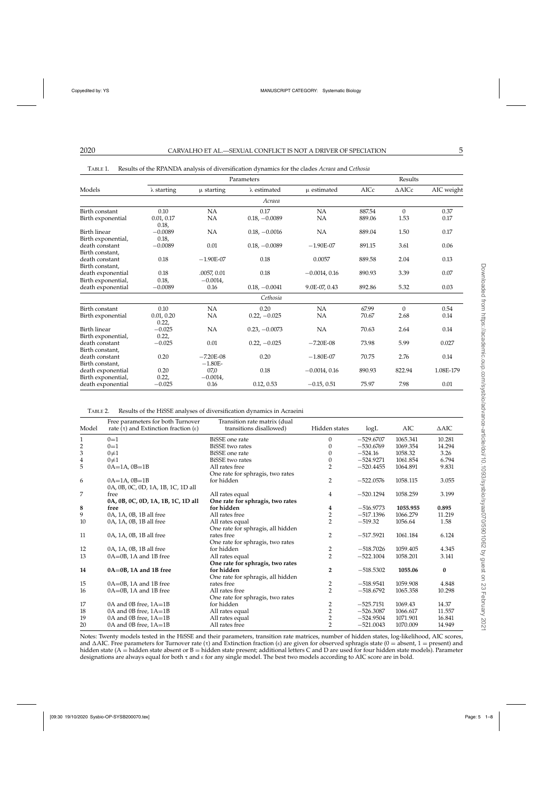| Models                                                  | Parameters                  |                           |                        |                 | Results        |                  |              |
|---------------------------------------------------------|-----------------------------|---------------------------|------------------------|-----------------|----------------|------------------|--------------|
|                                                         | $\lambda$ starting          | $\mu$ starting            | $\lambda$ estimated    | u estimated     | AICc           | $\triangle$ AICc | AIC weight   |
|                                                         |                             |                           | Acraea                 |                 |                |                  |              |
| Birth constant                                          | 0.10                        | <b>NA</b>                 | 0.17                   | NA              | 887.54         | $\Omega$         | 0.37         |
| Birth exponential                                       | 0.01, 0.17<br>0.18,         | NA                        | $0.18, -0.0089$        | <b>NA</b>       | 889.06         | 1.53             | 0.17         |
| Birth linear                                            | $-0.0089$                   | <b>NA</b>                 | $0.18, -0.0016$        | NA              | 889.04         | 1.50             | 0.17         |
| Birth exponential,<br>death constant<br>Birth constant, | 0.18,<br>$-0.0089$          | 0.01                      | $0.18, -0.0089$        | $-1.90E-07$     | 891.15         | 3.61             | 0.06         |
| death constant<br>Birth constant,                       | 0.18                        | $-1.90E-07$               | 0.18                   | 0.0057          | 889.58         | 2.04             | 0.13         |
| death exponential<br>Birth exponential,                 | 0.18<br>0.18,               | .0057, 0.01<br>$-0.0014,$ | 0.18                   | $-0.0014, 0.16$ | 890.93         | 3.39             | 0.07         |
| death exponential                                       | $-0.0089$                   | 0.16                      | $0.18, -0.0041$        | 9.0E-07, 0.43   | 892.86         | 5.32             | 0.03         |
|                                                         |                             |                           | Cethosia               |                 |                |                  |              |
| Birth constant<br>Birth exponential                     | 0.10<br>0.01, 0.20<br>0.22, | NA<br>NA                  | 0.20<br>$0.22, -0.025$ | NA<br>NA        | 67.99<br>70.67 | $\Omega$<br>2.68 | 0.54<br>0.14 |
| Birth linear<br>Birth exponential,                      | $-0.025$<br>0.22,           | NA                        | $0.23, -0.0073$        | <b>NA</b>       | 70.63          | 2.64             | 0.14         |
| death constant<br>Birth constant,                       | $-0.025$                    | 0.01                      | $0.22, -0.025$         | $-7.20E-08$     | 73.98          | 5.99             | 0.027        |
| death constant<br>Birth constant,                       | 0.20                        | $-7.20E-08$<br>$-1.80E-$  | 0.20                   | $-1.80E-07$     | 70.75          | 2.76             | 0.14         |
| death exponential<br>Birth exponential,                 | 0.20<br>0.22,               | 07,0<br>$-0.0014,$        | 0.18                   | $-0.0014, 0.16$ | 890.93         | 822.94           | 1.08E-179    |
| death exponential                                       | $-0.025$                    | 0.16                      | 0.12, 0.53             | $-0.15, 0.51$   | 75.97          | 7.98             | 0.01         |

<span id="page-4-0"></span>TABLE 1. Results of the RPANDA analysis of diversification dynamics for the clades *Acraea* and *Cethosia*

TABLE 2. Results of the HiSSE analyses of diversification dynamics in Acraeini

|                         | Free parameters for both Turnover                  | Transition rate matrix (dual      |                |             |          |                 |
|-------------------------|----------------------------------------------------|-----------------------------------|----------------|-------------|----------|-----------------|
| Model                   | rate $(\tau)$ and Extinction fraction $(\epsilon)$ | transitions disallowed)           | Hidden states  | logL        | AIC      | $\triangle$ AIC |
| 1                       | $0=1$                                              | <b>BiSSE</b> one rate             | 0              | $-529.6707$ | 1065.341 | 10.281          |
| $\overline{\mathbf{c}}$ | $0=1$                                              | <b>BiSSE</b> two rates            | 0              | $-530.6769$ | 1069.354 | 14.294          |
| 3                       | $0 \neq 1$                                         | BiSSE one rate                    | $\left($       | $-524.16$   | 1058.32  | 3.26            |
| 4                       | $0\neq 1$                                          | <b>BiSSE</b> two rates            | 0              | $-524.9271$ | 1061.854 | 6.794           |
| 5                       | $0A=1A$ , $0B=1B$                                  | All rates free                    | $\overline{2}$ | $-520.4455$ | 1064.891 | 9.831           |
|                         |                                                    | One rate for sphragis, two rates  |                |             |          |                 |
| 6                       | $0A=1A$ , $0B=1B$                                  | for hidden                        | $\overline{2}$ | $-522.0576$ | 1058.115 | 3.055           |
|                         | 0A, 0B, 0C, 0D, 1A, 1B, 1C, 1D all                 |                                   |                |             |          |                 |
| 7                       | free                                               | All rates equal                   | 4              | $-520.1294$ | 1058.259 | 3.199           |
|                         | 0A, 0B, 0C, 0D, 1A, 1B, 1C, 1D all                 | One rate for sphragis, two rates  |                |             |          |                 |
| 8                       | free                                               | for hidden                        | 4              | $-516.9773$ | 1055.955 | 0.895           |
| 9                       | 0A, 1A, 0B, 1B all free                            | All rates free                    | $\overline{2}$ | $-517.1396$ | 1066.279 | 11.219          |
| 10                      | 0A, 1A, 0B, 1B all free                            | All rates equal                   | $\overline{2}$ | $-519.32$   | 1056.64  | 1.58            |
|                         |                                                    | One rate for sphragis, all hidden |                |             |          |                 |
| 11                      | 0A, 1A, 0B, 1B all free                            | rates free                        | $\overline{2}$ | $-517.5921$ | 1061.184 | 6.124           |
|                         |                                                    | One rate for sphragis, two rates  |                |             |          |                 |
| 12                      | 0A, 1A, 0B, 1B all free                            | for hidden                        | 2              | $-518.7026$ | 1059.405 | 4.345           |
| 13                      | $0A = 0B$ , 1A and 1B free                         | All rates equal                   | $\overline{2}$ | $-522.1004$ | 1058.201 | 3.141           |
|                         |                                                    | One rate for sphragis, two rates  |                |             |          |                 |
| 14                      | $0A = 0B$ , 1A and 1B free                         | for hidden                        | $\overline{2}$ | $-518.5302$ | 1055.06  | $\bf{0}$        |
|                         |                                                    | One rate for sphragis, all hidden |                |             |          |                 |
| 15                      | $0A = 0B$ , 1A and 1B free                         | rates free                        | 2              | $-518.9541$ | 1059.908 | 4.848           |
| 16                      | $0A = 0B$ , 1A and 1B free                         | All rates free                    | $\overline{2}$ | $-518.6792$ | 1065.358 | 10.298          |
|                         |                                                    | One rate for sphragis, two rates  |                |             |          |                 |
| 17                      | $0A$ and $0B$ free, $1A=1B$                        | for hidden                        | 2              | $-525.7151$ | 1069.43  | 14.37           |
| 18                      | $0A$ and $0B$ free, $1A=1B$                        | All rates equal                   | $\overline{2}$ | $-526.3087$ | 1066.617 | 11.557          |
| 19                      | $0A$ and $0B$ free, $1A=1B$                        | All rates equal                   | $\overline{2}$ | $-524.9504$ | 1071.901 | 16.841          |
| 20                      | $0A$ and $0B$ free, $1A=1B$                        | All rates free                    | $\overline{2}$ | $-521.0043$ | 1070.009 | 14.949          |

Notes: Twenty models tested in the HiSSE and their parameters, transition rate matrices, number of hidden states, log-likelihood, AIC scores, and  $\triangle$ AIC. Free parameters for Turnover rate (τ) and Extinction fraction (ε) are given for observed sphragis state (0 = absent, 1 = present) and hidden state (A = hidden state absent or B = hidden state present; additional letters C and D are used for four hidden state models). Parameter designations are always equal for both  $\tau$  and  $\epsilon$  for any single model. The best two models according to AIC score are in bold.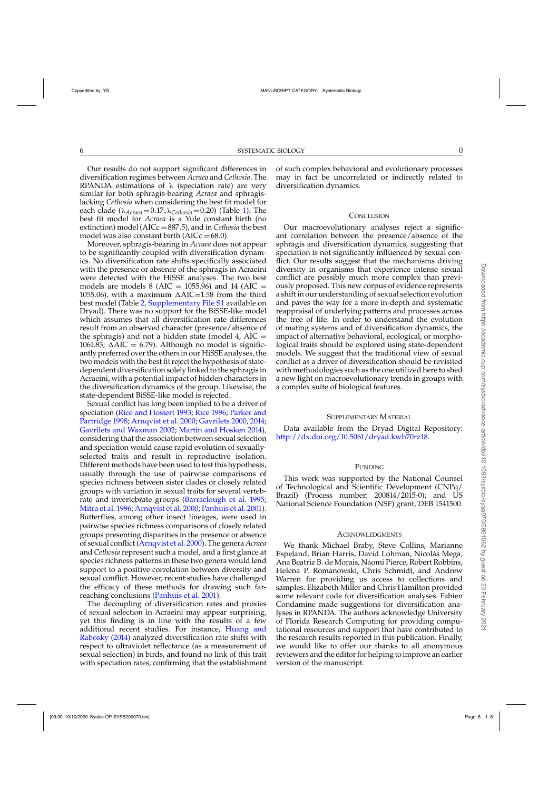Our results do not support significant differences in diversification regimes between *Acraea* and *Cethosia*. The RPANDA estimations of  $\lambda$  (speciation rate) are very similar for both sphragis-bearing *Acraea* and sphragislacking *Cethosia* when considering the best fit model for each clade ( $\lambda_{Acraea} = 0.17, \lambda_{Cethosia} = 0.20$ ) (Table [1\)](#page-4-0). The best fit model for *Acraea* is a Yule constant birth (no extinction) model (AICc =887.5), and in *Cethosia* the best model was also constant birth ( $AICc = 68.0$ ).

Moreover, sphragis-bearing in *Acraea* does not appear to be significantly coupled with diversification dynamics. No diversification rate shifts specifically associated with the presence or absence of the sphragis in Acraeini were detected with the HiSSE analyses. The two best models are models 8 (AIC = 1055.96) and 14 (AIC = 1055.06), with a maximum  $\Delta AIC = 1.58$  from the third best model (Table [2,](#page-4-0) [Supplementary File S1](http://dx.doi.org/10.5061/dryad.kwh70rz18) available on Dryad). There was no support for the BiSSE-like model which assumes that all diversification rate differences result from an observed character (presence/absence of the sphragis) and not a hidden state (model 4,  $AIC =$ 1061.85;  $\Delta AIC = 6.79$ ). Although no model is significantly preferred over the others in our HiSSE analyses, the two models with the best fit reject the hypothesis of statedependent diversification solely linked to the sphragis in Acraeini, with a potential impact of hidden characters in the diversification dynamics of the group. Likewise, the state-dependent BiSSE-like model is rejected.

Sexual conflict has long been implied to be a driver of speciatio[n \(Rice and Hostert 1993;](#page-7-0) [Rice 1996;](#page-7-0) Parker and Partridge [1998](#page-7-0); [Arnqvist et al. 2000;](#page-6-0) [Gavrilets 2000,](#page-6-0) [2014](#page-6-0); [Gavrilets and Waxman 2002;](#page-6-0) [Martin and Hosken 2014\)](#page-6-0), considering that the association between sexual selection and speciation would cause rapid evolution of sexuallyselected traits and result in reproductive isolation. Different methods have been used to test this hypothesis, usually through the use of pairwise comparisons of species richness between sister clades or closely related groups with variation in sexual traits for several vertebrate and invertebrate groups [\(Barraclough et al. 1995](#page-6-0); [Mitra et al. 1996](#page-7-0); [Arnqvist et al. 2000;](#page-6-0) [Panhuis et al. 2001\)](#page-7-0). Butterflies, among other insect lineages, were used in pairwise species richness comparisons of closely related groups presenting disparities in the presence or absence of sexual conflict [\(Arnqvist et al. 2000](#page-6-0)). The genera *Acraea* and *Cethosia* represent such a model, and a first glance at species richness patterns in these two genera would lend support to a positive correlation between diversity and sexual conflict. However, recent studies have challenged the efficacy of these methods for drawing such farreaching conclusions [\(Panhuis et al. 2001](#page-7-0)).

The decoupling of diversification rates and proxies of sexual selection in Acraeini may appear surprising, yet this finding is in line with the results of a few addition[al recent studies. For instance,](#page-6-0) Huang and Rabosky [\(2014](#page-6-0)) analyzed diversification rate shifts with respect to ultraviolet reflectance (as a measurement of sexual selection) in birds, and found no link of this trait with speciation rates, confirming that the establishment

of such complex behavioral and evolutionary processes may in fact be uncorrelated or indirectly related to diversification dynamics.

#### **CONCLUSION**

Our macroevolutionary analyses reject a significant correlation between the presence/absence of the sphragis and diversification dynamics, suggesting that speciation is not significantly influenced by sexual conflict. Our results suggest that the mechanisms driving diversity in organisms that experience intense sexual conflict are possibly much more complex than previously proposed. This new corpus of evidence represents a shift in our understanding of sexual selection evolution and paves the way for a more in-depth and systematic reappraisal of underlying patterns and processes across the tree of life. In order to understand the evolution of mating systems and of diversification dynamics, the impact of alternative behavioral, ecological, or morphological traits should be explored using state-dependent models. We suggest that the traditional view of sexual conflict as a driver of diversification should be revisited with methodologies such as the one utilized here to shed a new light on macroevolutionary trends in groups with a complex suite of biological features.

### SUPPLEMENTARY MATERIAL

Data available from the Dryad Digital Repository: [http://dx.doi.org/10.5061/dryad.kwh70rz18.](http://dx.doi.org/10.5061/dryad.kwh70rz18)

#### FUNDING

This work was supported by the National Counsel of Technological and Scientific Development (CNPq/ Brazil) (Process number: 200814/2015-0); and US National Science Foundation (NSF) grant, DEB 1541500.

### **ACKNOWLEDGMENTS**

We thank Michael Braby, Steve Collins, Marianne Espeland, Brian Harris, David Lohman, Nicolás Mega, Ana Beatriz B. de Morais, Naomi Pierce, Robert Robbins, Helena P. Romanowski, Chris Schmidt, and Andrew Warren for providing us access to collections and samples. Elizabeth Miller and Chris Hamilton provided some relevant code for diversification analyses. Fabien Condamine made suggestions for diversification analyses in RPANDA. The authors acknowledge University of Florida Research Computing for providing computational resources and support that have contributed to the research results reported in this publication. Finally, we would like to offer our thanks to all anonymous reviewers and the editor for helping to improve an earlier version of the manuscript.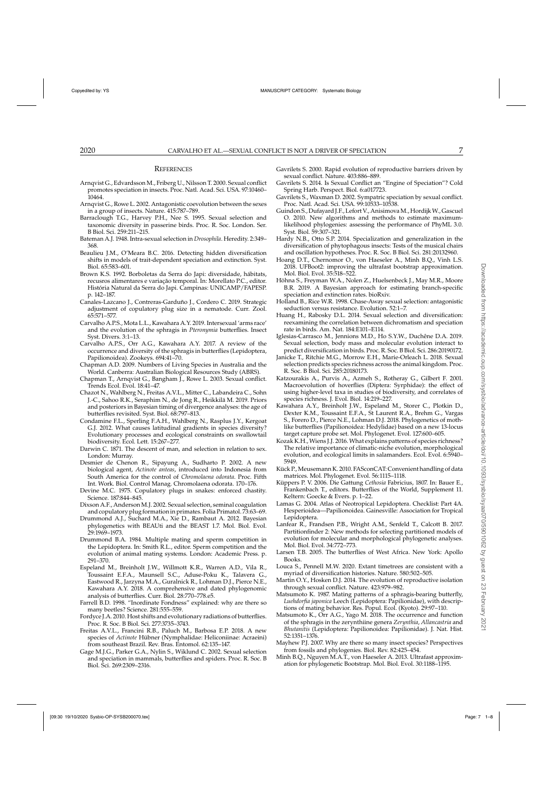#### **REFERENCES**

- <span id="page-6-0"></span>Arnqvist G., Edvardsson M., Friberg U., Nilsson T. 2000. Sexual conflict promotes speciation in insects. Proc. Natl. Acad. Sci. USA. 97:10460– 10464.
- Arnqvist G., Rowe L. 2002. Antagonistic coevolution between the sexes in a group of insects. Nature. 415:787–789.
- Barraclough T.G., Harvey P.H., Nee S. 1995. Sexual selection and taxonomic diversity in passerine birds. Proc. R. Soc. London. Ser. B Biol. Sci. 259:211–215.
- Bateman A.J. 1948. Intra-sexual selection in *Drosophila*. Heredity. 2:349– 368.
- Beaulieu J.M., O'Meara B.C. 2016. Detecting hidden diversification shifts in models of trait-dependent speciation and extinction. Syst. Biol. 65:583–601.
- Brown K.S. 1992. Borboletas da Serra do Japi: diversidade, hábitats, recusros alimentares e variação temporal. In: Morellato P.C., editor. História Natural da Serra do Japi. Campinas: UNICAMP/FAPESP. p. 142–187.
- Canales-Lazcano J., Contreras-Garduño J., Cordero C. 2019. Strategic adjustment of copulatory plug size in a nematode. Curr. Zool. 65:571–577.
- Carvalho A.P.S., Mota L.L., Kawahara A.Y. 2019. Intersexual 'arms race' and the evolution of the sphragis in *Pteronymia* butterflies. Insect Syst. Divers. 3:1–13.
- Carvalho A.P.S., Orr A.G., Kawahara A.Y. 2017. A review of the occurrence and diversity of the sphragis in butterflies (Lepidoptera, Papilionoidea). Zookeys. 694:41–70.
- Chapman A.D. 2009. Numbers of Living Species in Australia and the World. Canberra: Australian Biological Resources Study (ABRS).
- Chapman T., Arnqvist G., Bangham J., Rowe L. 2003. Sexual conflict. Trends Ecol. Evol. 18:41–47.
- Chazot N., Wahlberg N., Freitas A.V.L., Mitter C., Labandeira C., Sohn J.-C., Sahoo R.K., Seraphim N., de Jong R., Heikkilä M. 2019. Priors and posteriors in Bayesian timing of divergence analyses: the age of butterflies revisited. Syst. Biol. 68:797–813.
- Condamine F.L., Sperling F.A.H., Wahlberg N., Rasplus J.Y., Kergoat G.J. 2012. What causes latitudinal gradients in species diversity? Evolutionary processes and ecological constraints on swallowtail biodiversity. Ecol. Lett. 15:267–277.
- Darwin C. 1871. The descent of man, and selection in relation to sex. London: Murray.
- Desmier de Chenon R., Sipayung A., Sudharto P. 2002. A new biological agent, *Actinote anteas*, introduced into Indonesia from South America for the control of *Chromolaena odorata*. Proc. Fifth Int. Work. Biol. Control Manag. Chromolaena odorata. 170–176.
- Devine M.C. 1975. Copulatory plugs in snakes: enforced chastity. Science. 187:844–845.
- Dixson A.F., Anderson M.J. 2002. Sexual selection, seminal coagulation and copulatory plug formationin primates. Folia Primatol. 73:63–69.
- Drummond A.J., Suchard M.A., Xie D., Rambaut A. 2012. Bayesian phylogenetics with BEAUti and the BEAST 1.7. Mol. Biol. Evol. 29:1969–1973.
- Drummond B.A. 1984. Multiple mating and sperm competition in the Lepidoptera. In: Smith R.L., editor. Sperm competition and the evolution of animal mating systems. London: Academic Press. p. 291–370.
- Espeland M., Breinholt J.W., Willmott K.R., Warren A.D., Vila R., Toussaint E.F.A., Maunsell S.C., Aduse-Poku K., Talavera G., Eastwood R., Jarzyna M.A., Guralnick R., Lohman D.J., Pierce N.E., Kawahara A.Y. 2018. A comprehensive and dated phylogenomic analysis of butterflies. Curr. Biol. 28:770–778.e5.
- Farrell B.D. 1998. "Inordinate Fondness" explained: why are there so many beetles? Science. 281:555–559.
- Fordyce J.A. 2010. Host shifts and evolutionary radiations of butterflies. Proc. R. Soc. B Biol. Sci. 277:3735–3743.
- Freitas A.V.L., Francini R.B., Paluch M., Barbosa E.P. 2018. A new species of *Actinote* Hübner (Nymphalidae: Heliconiinae: Acraeini) from southeast Brazil. Rev. Bras. Entomol. 62:135–147.
- Gage M.J.G., Parker G.A., Nylin S., Wiklund C. 2002. Sexual selection and speciation in mammals, butterflies and spiders. Proc. R. Soc. B Biol. Sci. 269:2309–2316.
- Gavrilets S. 2000. Rapid evolution of reproductive barriers driven by sexual conflict. Nature. 403:886–889.
- Gavrilets S. 2014. Is Sexual Conflict an "Engine of Speciation"? Cold Spring Harb. Perspect. Biol. 6:a017723.
- Gavrilets S., Waxman D. 2002. Sympatric speciation by sexual conflict. Proc. Natl. Acad. Sci. USA. 99:10533–10538.
- Guindon S., Dufayard J.F., Lefort V., AnisimovaM., HordijkW., Gascuel O. 2010. New algorithms and methods to estimate maximumlikelihood phylogenies: assessing the performance of PhyML 3.0. Syst. Biol. 59:307–321.
- Hardy N.B., Otto S.P. 2014. Specialization and generalization in the diversification of phytophagous insects: Tests of the musical chairs and oscillation hypotheses. Proc. R. Soc. B Biol. Sci. 281:20132960.
- Hoang D.T., Chernomor O., von Haeseler A., Minh B.Q., Vinh L.S. 2018. UFBoot2: improving the ultrafast bootstrap approximation. Mol. Biol. Evol. 35:518–522.
- Höhna S., Freyman W.A., Nolen Z., Huelsenbeck J., May M.R., Moore B.R. 2019. A Bayesian approach for estimating branch-specific speciation and extinction rates. bioRxiv.
- Holland B., Rice W.R. 1998. Chase-Away sexual selection: antagonistic seduction versus resistance. Evolution. 52:1–7.
- Huang H., Rabosky D.L. 2014. Sexual selection and diversification: reexamining the correlation between dichromatism and speciation rate in birds. Am. Nat. 184:E101–E114.
- Iglesias-Carrasco M., Jennions M.D., Ho S.Y.W., Duchêne D.A. 2019. Sexual selection, body mass and molecular evolution interact to predict diversification in birds. Proc. R. Soc. B Biol. Sci. 286:20190172.
- Janicke T., Ritchie M.G., Morrow E.H., Marie-Orleach L. 2018. Sexual selection predicts species richness across the animal kingdom. Proc. R. Soc. B Biol. Sci. 285:20180173.
- Katzourakis A., Purvis A., Azmeh S., Rotheray G., Gilbert F. 2001. Macroevolution of hoverflies (Diptera: Syrphidae): the effect of using higher-level taxa in studies of biodiversity, and correlates of species richness. J. Evol. Biol. 14:219–227.
- Kawahara A.Y., Breinholt J.W., Espeland M., Storer C., Plotkin D., Dexter K.M., Toussaint E.F.A., St Laurent R.A., Brehm G., Vargas S., Forero D., Pierce N.E., Lohman D.J. 2018. Phylogenetics of mothlike butterflies (Papilionoidea: Hedylidae) based on a new 13-locus target capture probe set. Mol. Phylogenet. Evol. 127:600–605.
- Kozak K.H., Wiens J.J. 2016. What explains patterns of species richness? The relative importance of climatic-niche evolution, morphological evolution, and ecological limits in salamanders. Ecol. Evol. 6:5940– 5949.
- Kück P., Meusemann K. 2010. FASconCAT: Convenient handling of data matrices. Mol. Phylogenet. Evol. 56:1115–1118.
- Küppers P. V. 2006. Die Gattung *Cethosia* Fabricius, 1807. In: Bauer E., Frankenbach T., editors. Butterflies of the World, Supplement 11. Keltern: Goecke & Evers. p. 1–22.
- Lamas G. 2004. Atlas of Neotropical Lepidoptera. Checklist: Part 4A. Hesperioidea—Papilionoidea. Gainesville: Association for Tropical Lepidoptera.
- Lanfear R., Frandsen P.B., Wright A.M., Senfeld T., Calcott B. 2017. Partitionfinder 2: New methods for selecting partitioned models of evolution for molecular and morphological phylogenetic analyses. Mol. Biol. Evol. 34:772–773.
- Larsen T.B. 2005. The butterflies of West Africa. New York: Apollo Books.
- Louca S., Pennell M.W. 2020. Extant timetrees are consistent with a myriad of diversification histories. Nature. 580:502–505.
- Martin O.Y., Hosken D.J. 2014. The evolution of reproductive isolation through sexual conflict. Nature. 423:979–982.
- Matsumoto K. 1987. Mating patterns of a sphragis-bearing butterfly, *Luehdorfia japonica* Leech (Lepidoptera: Papilionidae), with descriptions of mating behavior. Res. Popul. Ecol. (Kyoto). 29:97–110.
- Matsumoto K., Orr A.G., Yago M. 2018. The occurrence and function of the sphragis in the zerynthiine genera *Zerynthia*, *Allancastria* and *Bhutanitis* (Lepidoptera: Papilionoidea: Papilionidae). J. Nat. Hist. 52:1351–1376.
- Mayhew P.J. 2007. Why are there so many insect species? Perspectives from fossils and phylogenies. Biol. Rev. 82:425–454.
- Minh B.Q., Nguyen M.A.T., von Haeseler A. 2013. Ultrafast approximation for phylogenetic Bootstrap. Mol. Biol. Evol. 30:1188–1195.